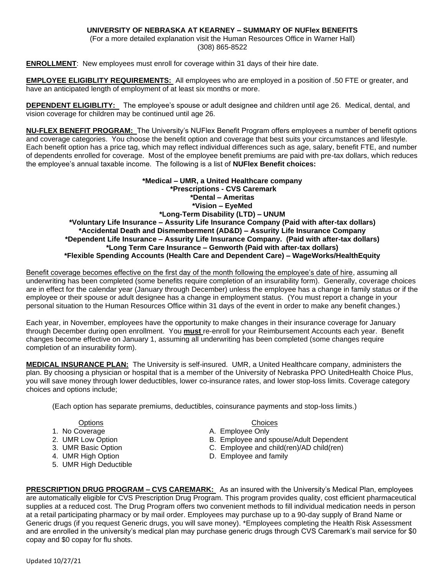## **UNIVERSITY OF NEBRASKA AT KEARNEY – SUMMARY OF NUFlex BENEFITS**

(For a more detailed explanation visit the Human Resources Office in Warner Hall) (308) 865-8522

**ENROLLMENT**: New employees must enroll for coverage within 31 days of their hire date.

**EMPLOYEE ELIGIBLITY REQUIREMENTS:** All employees who are employed in a position of .50 FTE or greater, and have an anticipated length of employment of at least six months or more.

**DEPENDENT ELIGIBLITY:** The employee's spouse or adult designee and children until age 26. Medical, dental, and vision coverage for children may be continued until age 26.

**NU-FLEX BENEFIT PROGRAM:** The University's NUFlex Benefit Program offers employees a number of benefit options and coverage categories. You choose the benefit option and coverage that best suits your circumstances and lifestyle. Each benefit option has a price tag, which may reflect individual differences such as age, salary, benefit FTE, and number of dependents enrolled for coverage. Most of the employee benefit premiums are paid with pre-tax dollars, which reduces the employee's annual taxable income. The following is a list of **NUFlex Benefit choices:**

**\*Medical – UMR, a United Healthcare company \*Prescriptions - CVS Caremark \*Dental – Ameritas \*Vision – EyeMed \*Long-Term Disability (LTD) – UNUM \*Voluntary Life Insurance – Assurity Life Insurance Company (Paid with after-tax dollars) \*Accidental Death and Dismemberment (AD&D) – Assurity Life Insurance Company \*Dependent Life Insurance – Assurity Life Insurance Company. (Paid with after-tax dollars) \*Long Term Care Insurance – Genworth (Paid with after-tax dollars) \*Flexible Spending Accounts (Health Care and Dependent Care) – WageWorks/HealthEquity**

Benefit coverage becomes effective on the first day of the month following the employee's date of hire, assuming all underwriting has been completed (some benefits require completion of an insurability form). Generally, coverage choices are in effect for the calendar year (January through December) unless the employee has a change in family status or if the employee or their spouse or adult designee has a change in employment status. (You must report a change in your personal situation to the Human Resources Office within 31 days of the event in order to make any benefit changes.)

Each year, in November, employees have the opportunity to make changes in their insurance coverage for January through December during open enrollment. You **must** re-enroll for your Reimbursement Accounts each year. Benefit changes become effective on January 1, assuming all underwriting has been completed (some changes require completion of an insurability form).

**MEDICAL INSURANCE PLAN:** The University is self-insured. UMR, a United Healthcare company, administers the plan. By choosing a physician or hospital that is a member of the University of Nebraska PPO UnitedHealth Choice Plus, you will save money through lower deductibles, lower co-insurance rates, and lower stop-loss limits. Coverage category choices and options include;

(Each option has separate premiums, deductibles, coinsurance payments and stop-loss limits.)

- 1. No Coverage **A.** Employee Only
- 
- 
- 
- 5. UMR High Deductible

Options Choices

- 
- 2. UMR Low Option **B. Employee and spouse/Adult Dependent**
- 3. UMR Basic Option C. Employee and child(ren)/AD child(ren)
- 4. UMR High Option **D. Employee and family**

**PRESCRIPTION DRUG PROGRAM – CVS CAREMARK:** As an insured with the University's Medical Plan, employees are automatically eligible for CVS Prescription Drug Program. This program provides quality, cost efficient pharmaceutical supplies at a reduced cost. The Drug Program offers two convenient methods to fill individual medication needs in person at a retail participating pharmacy or by mail order. Employees may purchase up to a 90-day supply of Brand Name or Generic drugs (if you request Generic drugs, you will save money). \*Employees completing the Health Risk Assessment and are enrolled in the university's medical plan may purchase generic drugs through CVS Caremark's mail service for \$0 copay and \$0 copay for flu shots.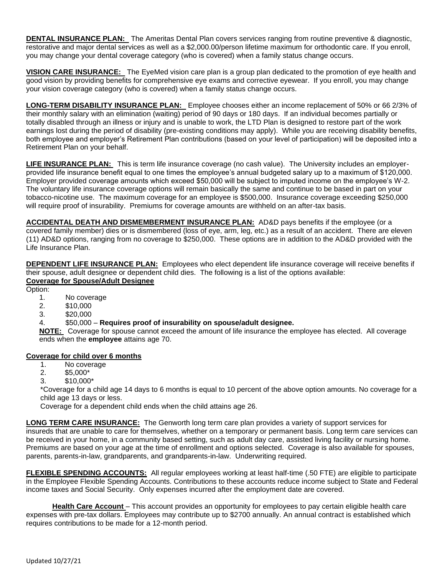**DENTAL INSURANCE PLAN:** The Ameritas Dental Plan covers services ranging from routine preventive & diagnostic, restorative and major dental services as well as a \$2,000.00/person lifetime maximum for orthodontic care. If you enroll, you may change your dental coverage category (who is covered) when a family status change occurs.

**VISION CARE INSURANCE:** The EyeMed vision care plan is a group plan dedicated to the promotion of eye health and good vision by providing benefits for comprehensive eye exams and corrective eyewear. If you enroll, you may change your vision coverage category (who is covered) when a family status change occurs.

**LONG-TERM DISABILITY INSURANCE PLAN:** Employee chooses either an income replacement of 50% or 66 2/3% of their monthly salary with an elimination (waiting) period of 90 days or 180 days. If an individual becomes partially or totally disabled through an illness or injury and is unable to work, the LTD Plan is designed to restore part of the work earnings lost during the period of disability (pre-existing conditions may apply). While you are receiving disability benefits, both employee and employer's Retirement Plan contributions (based on your level of participation) will be deposited into a Retirement Plan on your behalf.

**LIFE INSURANCE PLAN:** This is term life insurance coverage (no cash value). The University includes an employerprovided life insurance benefit equal to one times the employee's annual budgeted salary up to a maximum of \$120,000. Employer provided coverage amounts which exceed \$50,000 will be subject to imputed income on the employee's W-2. The voluntary life insurance coverage options will remain basically the same and continue to be based in part on your tobacco-nicotine use. The maximum coverage for an employee is \$500,000. Insurance coverage exceeding \$250,000 will require proof of insurability. Premiums for coverage amounts are withheld on an after-tax basis.

**ACCIDENTAL DEATH AND DISMEMBERMENT INSURANCE PLAN:** AD&D pays benefits if the employee (or a covered family member) dies or is dismembered (loss of eye, arm, leg, etc.) as a result of an accident. There are eleven (11) AD&D options, ranging from no coverage to \$250,000. These options are in addition to the AD&D provided with the Life Insurance Plan.

**DEPENDENT LIFE INSURANCE PLAN:** Employees who elect dependent life insurance coverage will receive benefits if their spouse, adult designee or dependent child dies. The following is a list of the options available: **Coverage for Spouse/Adult Designee**

Option:

- 1. No coverage
- 2. \$10,000
- 3. \$20,000

# 4. \$50,000 – **Requires proof of insurability on spouse/adult designee.**

**NOTE:** Coverage for spouse cannot exceed the amount of life insurance the employee has elected. All coverage ends when the **employee** attains age 70.

### **Coverage for child over 6 months**

- 1. No coverage
- 2. \$5,000\*
- 3. \$10,000\*

\*Coverage for a child age 14 days to 6 months is equal to 10 percent of the above option amounts. No coverage for a child age 13 days or less.

Coverage for a dependent child ends when the child attains age 26.

**LONG TERM CARE INSURANCE:** The Genworth long term care plan provides a variety of support services for insureds that are unable to care for themselves, whether on a temporary or permanent basis. Long term care services can be received in your home, in a community based setting, such as adult day care, assisted living facility or nursing home. Premiums are based on your age at the time of enrollment and options selected. Coverage is also available for spouses, parents, parents-in-law, grandparents, and grandparents-in-law. Underwriting required.

**FLEXIBLE SPENDING ACCOUNTS:** All regular employees working at least half-time (.50 FTE) are eligible to participate in the Employee Flexible Spending Accounts. Contributions to these accounts reduce income subject to State and Federal income taxes and Social Security. Only expenses incurred after the employment date are covered.

**Health Care Account** – This account provides an opportunity for employees to pay certain eligible health care expenses with pre-tax dollars. Employees may contribute up to \$2700 annually. An annual contract is established which requires contributions to be made for a 12-month period.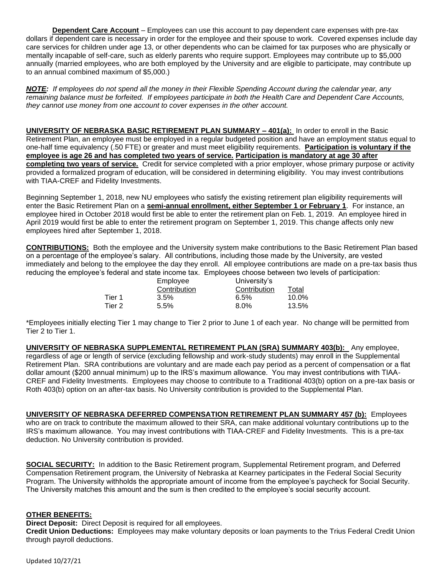**Dependent Care Account** – Employees can use this account to pay dependent care expenses with pre-tax dollars if dependent care is necessary in order for the employee and their spouse to work. Covered expenses include day care services for children under age 13, or other dependents who can be claimed for tax purposes who are physically or mentally incapable of self-care, such as elderly parents who require support. Employees may contribute up to \$5,000 annually (married employees, who are both employed by the University and are eligible to participate, may contribute up to an annual combined maximum of \$5,000.)

*NOTE: If employees do not spend all the money in their Flexible Spending Account during the calendar year, any*  remaining balance must be forfeited. If employees participate in both the Health Care and Dependent Care Accounts, *they cannot use money from one account to cover expenses in the other account.*

**UNIVERSITY OF NEBRASKA BASIC RETIREMENT PLAN SUMMARY – 401(a):** In order to enroll in the Basic Retirement Plan, an employee must be employed in a regular budgeted position and have an employment status equal to one-half time equivalency (.50 FTE) or greater and must meet eligibility requirements. **Participation is voluntary if the employee is age 26 and has completed two years of service. Participation is mandatory at age 30 after completing two years of service.** Credit for service completed with a prior employer, whose primary purpose or activity provided a formalized program of education, will be considered in determining eligibility. You may invest contributions with TIAA-CREF and Fidelity Investments.

Beginning September 1, 2018, new NU employees who satisfy the existing retirement plan eligibility requirements will enter the Basic Retirement Plan on a **semi-annual enrollment, either September 1 or February 1**. For instance, an employee hired in October 2018 would first be able to enter the retirement plan on Feb. 1, 2019. An employee hired in April 2019 would first be able to enter the retirement program on September 1, 2019. This change affects only new employees hired after September 1, 2018.

**CONTRIBUTIONS:** Both the employee and the University system make contributions to the Basic Retirement Plan based on a percentage of the employee's salary. All contributions, including those made by the University, are vested immediately and belong to the employee the day they enroll. All employee contributions are made on a pre-tax basis thus reducing the employee's federal and state income tax. Employees choose between two levels of participation:

|        | Employee<br>Contribution | University's |          |
|--------|--------------------------|--------------|----------|
|        |                          | Contribution | Total    |
| Tier 1 | 3.5%                     | 6.5%         | $10.0\%$ |
| Tier 2 | 5.5%                     | $8.0\%$      | 13.5%    |

\*Employees initially electing Tier 1 may change to Tier 2 prior to June 1 of each year. No change will be permitted from Tier 2 to Tier 1.

**UNIVERSITY OF NEBRASKA SUPPLEMENTAL RETIREMENT PLAN (SRA) SUMMARY 403(b):** Any employee, regardless of age or length of service (excluding fellowship and work-study students) may enroll in the Supplemental Retirement Plan. SRA contributions are voluntary and are made each pay period as a percent of compensation or a flat dollar amount (\$200 annual minimum) up to the IRS's maximum allowance. You may invest contributions with TIAA-CREF and Fidelity Investments. Employees may choose to contribute to a Traditional 403(b) option on a pre-tax basis or Roth 403(b) option on an after-tax basis. No University contribution is provided to the Supplemental Plan.

**UNIVERSITY OF NEBRASKA DEFERRED COMPENSATION RETIREMENT PLAN SUMMARY 457 (b):** Employees who are on track to contribute the maximum allowed to their SRA, can make additional voluntary contributions up to the IRS's maximum allowance. You may invest contributions with TIAA-CREF and Fidelity Investments. This is a pre-tax deduction. No University contribution is provided.

**SOCIAL SECURITY:** In addition to the Basic Retirement program, Supplemental Retirement program, and Deferred Compensation Retirement program, the University of Nebraska at Kearney participates in the Federal Social Security Program. The University withholds the appropriate amount of income from the employee's paycheck for Social Security. The University matches this amount and the sum is then credited to the employee's social security account.

### **OTHER BENEFITS:**

**Direct Deposit:** Direct Deposit is required for all employees.

**Credit Union Deductions:** Employees may make voluntary deposits or loan payments to the Trius Federal Credit Union through payroll deductions.